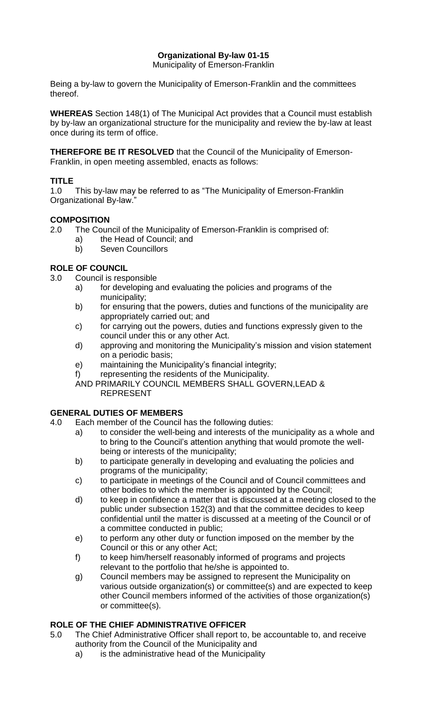# **Organizational By-law 01-15**

Municipality of Emerson-Franklin

Being a by-law to govern the Municipality of Emerson-Franklin and the committees thereof.

**WHEREAS** Section 148(1) of The Municipal Act provides that a Council must establish by by-law an organizational structure for the municipality and review the by-law at least once during its term of office.

**THEREFORE BE IT RESOLVED** that the Council of the Municipality of Emerson-Franklin, in open meeting assembled, enacts as follows:

# **TITLE**

1.0 This by-law may be referred to as "The Municipality of Emerson-Franklin Organizational By-law."

### **COMPOSITION**

- 2.0 The Council of the Municipality of Emerson-Franklin is comprised of:
	- a) the Head of Council; and
	- b) Seven Councillors

# **ROLE OF COUNCIL**

3.0 Council is responsible

- a) for developing and evaluating the policies and programs of the municipality;
- b) for ensuring that the powers, duties and functions of the municipality are appropriately carried out; and
- c) for carrying out the powers, duties and functions expressly given to the council under this or any other Act.
- d) approving and monitoring the Municipality's mission and vision statement on a periodic basis;
- e) maintaining the Municipality's financial integrity;
- f) representing the residents of the Municipality.

AND PRIMARILY COUNCIL MEMBERS SHALL GOVERN,LEAD & REPRESENT

# **GENERAL DUTIES OF MEMBERS**

- 4.0 Each member of the Council has the following duties:
	- a) to consider the well-being and interests of the municipality as a whole and to bring to the Council's attention anything that would promote the wellbeing or interests of the municipality;
	- b) to participate generally in developing and evaluating the policies and programs of the municipality;
	- c) to participate in meetings of the Council and of Council committees and other bodies to which the member is appointed by the Council;
	- d) to keep in confidence a matter that is discussed at a meeting closed to the public under subsection 152(3) and that the committee decides to keep confidential until the matter is discussed at a meeting of the Council or of a committee conducted in public;
	- e) to perform any other duty or function imposed on the member by the Council or this or any other Act;
	- f) to keep him/herself reasonably informed of programs and projects relevant to the portfolio that he/she is appointed to.
	- g) Council members may be assigned to represent the Municipality on various outside organization(s) or committee(s) and are expected to keep other Council members informed of the activities of those organization(s) or committee(s).

# **ROLE OF THE CHIEF ADMINISTRATIVE OFFICER**

- 5.0 The Chief Administrative Officer shall report to, be accountable to, and receive authority from the Council of the Municipality and
	- a) is the administrative head of the Municipality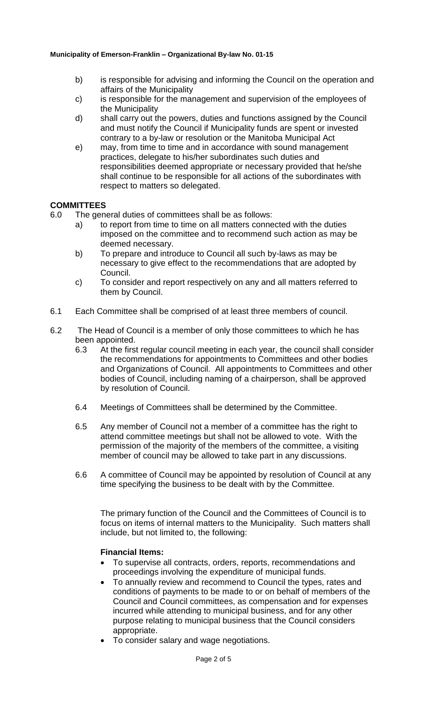- b) is responsible for advising and informing the Council on the operation and affairs of the Municipality
- c) is responsible for the management and supervision of the employees of the Municipality
- d) shall carry out the powers, duties and functions assigned by the Council and must notify the Council if Municipality funds are spent or invested contrary to a by-law or resolution or the Manitoba Municipal Act
- e) may, from time to time and in accordance with sound management practices, delegate to his/her subordinates such duties and responsibilities deemed appropriate or necessary provided that he/she shall continue to be responsible for all actions of the subordinates with respect to matters so delegated.

#### **COMMITTEES**

- 6.0 The general duties of committees shall be as follows:
	- a) to report from time to time on all matters connected with the duties imposed on the committee and to recommend such action as may be deemed necessary.
	- b) To prepare and introduce to Council all such by-laws as may be necessary to give effect to the recommendations that are adopted by Council.
	- c) To consider and report respectively on any and all matters referred to them by Council.
- 6.1 Each Committee shall be comprised of at least three members of council.
- 6.2 The Head of Council is a member of only those committees to which he has been appointed.
	- 6.3 At the first regular council meeting in each year, the council shall consider the recommendations for appointments to Committees and other bodies and Organizations of Council. All appointments to Committees and other bodies of Council, including naming of a chairperson, shall be approved by resolution of Council.
	- 6.4 Meetings of Committees shall be determined by the Committee.
	- 6.5 Any member of Council not a member of a committee has the right to attend committee meetings but shall not be allowed to vote. With the permission of the majority of the members of the committee, a visiting member of council may be allowed to take part in any discussions.
	- 6.6 A committee of Council may be appointed by resolution of Council at any time specifying the business to be dealt with by the Committee.

The primary function of the Council and the Committees of Council is to focus on items of internal matters to the Municipality. Such matters shall include, but not limited to, the following:

### **Financial Items:**

- To supervise all contracts, orders, reports, recommendations and proceedings involving the expenditure of municipal funds.
- To annually review and recommend to Council the types, rates and conditions of payments to be made to or on behalf of members of the Council and Council committees, as compensation and for expenses incurred while attending to municipal business, and for any other purpose relating to municipal business that the Council considers appropriate.
- To consider salary and wage negotiations.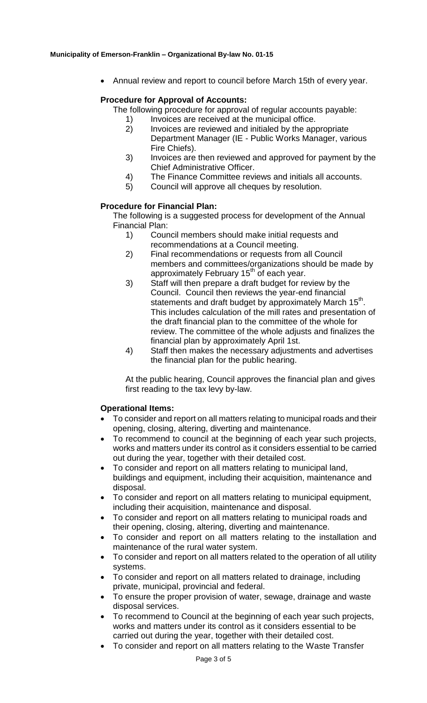Annual review and report to council before March 15th of every year.

### **Procedure for Approval of Accounts:**

The following procedure for approval of regular accounts payable:

- 1) Invoices are received at the municipal office.
- 2) Invoices are reviewed and initialed by the appropriate Department Manager (IE - Public Works Manager, various Fire Chiefs).
- 3) Invoices are then reviewed and approved for payment by the Chief Administrative Officer.
- 4) The Finance Committee reviews and initials all accounts.
- 5) Council will approve all cheques by resolution.

### **Procedure for Financial Plan:**

The following is a suggested process for development of the Annual Financial Plan:

- 1) Council members should make initial requests and recommendations at a Council meeting.
- 2) Final recommendations or requests from all Council members and committees/organizations should be made by approximately February 15<sup>th</sup> of each year.
- 3) Staff will then prepare a draft budget for review by the Council. Council then reviews the year-end financial statements and draft budget by approximately March 15<sup>th</sup>. This includes calculation of the mill rates and presentation of the draft financial plan to the committee of the whole for review. The committee of the whole adjusts and finalizes the financial plan by approximately April 1st.
- 4) Staff then makes the necessary adjustments and advertises the financial plan for the public hearing.

At the public hearing, Council approves the financial plan and gives first reading to the tax levy by-law.

### **Operational Items:**

- To consider and report on all matters relating to municipal roads and their opening, closing, altering, diverting and maintenance.
- To recommend to council at the beginning of each year such projects, works and matters under its control as it considers essential to be carried out during the year, together with their detailed cost.
- To consider and report on all matters relating to municipal land, buildings and equipment, including their acquisition, maintenance and disposal.
- To consider and report on all matters relating to municipal equipment, including their acquisition, maintenance and disposal.
- To consider and report on all matters relating to municipal roads and their opening, closing, altering, diverting and maintenance.
- To consider and report on all matters relating to the installation and maintenance of the rural water system.
- To consider and report on all matters related to the operation of all utility systems.
- To consider and report on all matters related to drainage, including private, municipal, provincial and federal.
- To ensure the proper provision of water, sewage, drainage and waste disposal services.
- To recommend to Council at the beginning of each year such projects, works and matters under its control as it considers essential to be carried out during the year, together with their detailed cost.
- To consider and report on all matters relating to the Waste Transfer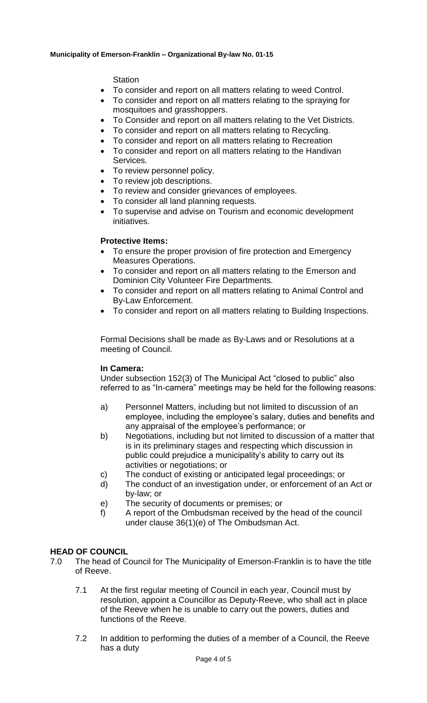#### **Station**

- To consider and report on all matters relating to weed Control.
- To consider and report on all matters relating to the spraying for mosquitoes and grasshoppers.
- To Consider and report on all matters relating to the Vet Districts.
- To consider and report on all matters relating to Recycling.
- To consider and report on all matters relating to Recreation
- To consider and report on all matters relating to the Handivan Services.
- To review personnel policy.
- To review job descriptions.
- To review and consider grievances of employees.
- To consider all land planning requests.
- To supervise and advise on Tourism and economic development initiatives.

### **Protective Items:**

- To ensure the proper provision of fire protection and Emergency Measures Operations.
- To consider and report on all matters relating to the Emerson and Dominion City Volunteer Fire Departments.
- To consider and report on all matters relating to Animal Control and By-Law Enforcement.
- To consider and report on all matters relating to Building Inspections.

Formal Decisions shall be made as By-Laws and or Resolutions at a meeting of Council.

### **In Camera:**

Under subsection 152(3) of The Municipal Act "closed to public" also referred to as "In-camera" meetings may be held for the following reasons:

- a) Personnel Matters, including but not limited to discussion of an employee, including the employee's salary, duties and benefits and any appraisal of the employee's performance; or
- b) Negotiations, including but not limited to discussion of a matter that is in its preliminary stages and respecting which discussion in public could prejudice a municipality's ability to carry out its activities or negotiations; or
- c) The conduct of existing or anticipated legal proceedings; or
- d) The conduct of an investigation under, or enforcement of an Act or by-law; or
- e) The security of documents or premises; or
- f) A report of the Ombudsman received by the head of the council under clause 36(1)(e) of The Ombudsman Act.

# **HEAD OF COUNCIL**

- 7.0 The head of Council for The Municipality of Emerson-Franklin is to have the title of Reeve.
	- 7.1 At the first regular meeting of Council in each year, Council must by resolution, appoint a Councillor as Deputy-Reeve, who shall act in place of the Reeve when he is unable to carry out the powers, duties and functions of the Reeve.
	- 7.2 In addition to performing the duties of a member of a Council, the Reeve has a duty